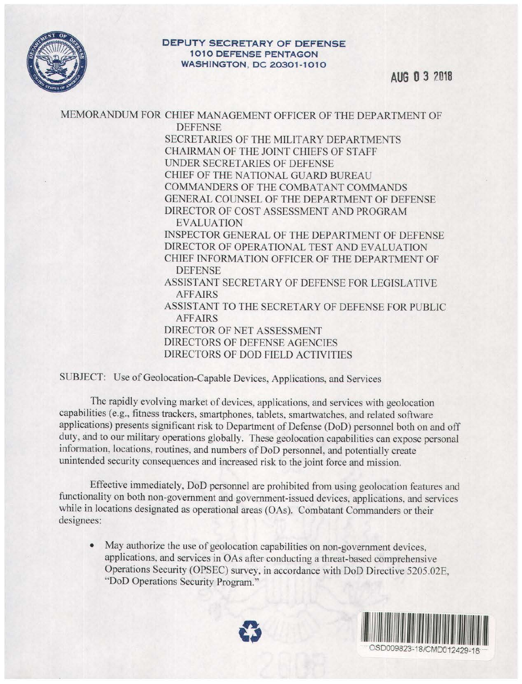

## **DEPUTY SECRETARY OF DEFENSE 1010 DEFENSE PENTAGON WASHINGTON, DC 20301 - 1010**

## MEMORANDUM FOR CHIEF MANAGEMENT OFFICER OF THE DEPARTMENT OF **DEFENSE**

SECRETARIES OF THE MILITARY DEPARTMENTS CHAIRMAN OF THE JOINT CHIEFS OF STAFF UNDER SECRETARIES OF DEFENSE CHIEF OF THE NATIONAL GUARD BUREAU COMMANDERS OF THE COMBATANT COMMANDS GENERAL COUNSEL OF THE DEPARTMENT OF DEFENSE DIRECTOR OF COST ASSESSMENT AND PROGRAM EVALUATION INSPECTOR GENERAL OF THE DEPARTMENT OF DEFENSE DIRECTOR OF OPERATIONAL TEST AND EVALUATION CHIEF INFORMATION OFFICER OF THE DEPARTMENT OF DEFENSE ASSISTANT SECRETARY OF DEFENSE FOR LEGISLATIVE AFFAIRS ASSISTANT TO THE SECRETARY OF DEFENSE FOR PUBLIC AFFAIRS DIRECTOR OF NET ASSESSMENT

DIRECTORS OF DEFENSE AGENCIES DIRECTORS OF DOD FIELD ACTIVITIES

SUBJECT: Use of Geolocation-Capable Devices, Applications, and Services

The rapidly evolving market of devices, applications, and services with geolocation capabilities (e.g., fitness trackers, smartphones, tablets, smartwatches, and related software applications) presents significant risk to Department of Defense (DoD) personnel both on and off duty, and to our military operations globally. These geolocation capabilities can expose personal information, locations, routines, and numbers of DoD personnel, and potentially create unintended security consequences and increased risk to the joint force and mission.

Effective immediately, DoD personnel are prohibited from using geolocation features and functionality on both non-government and government-issued devices, applications, and services while in locations designated as operational areas (OAs). Combatant Commanders or their designees:

May authorize the use of geolocation capabilities on non-government devices, applications, and services in OAs after conducting a threat-based comprehensive Operations Security (OPSEC) survey, in accordance with DoD Directive 5205.02E, "DoD Operations Security Program."